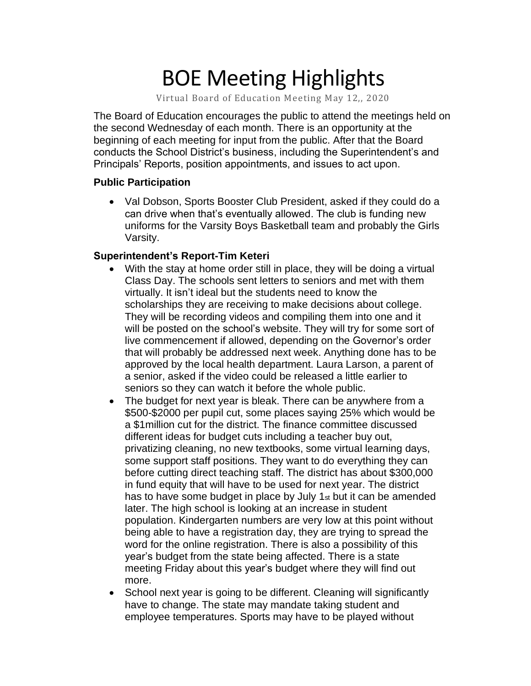# BOE Meeting Highlights

Virtual Board of Education Meeting May 12,, 2020

 The Board of Education encourages the public to attend the meetings held on the second Wednesday of each month. There is an opportunity at the beginning of each meeting for input from the public. After that the Board conducts the School District's business, including the Superintendent's and Principals' Reports, position appointments, and issues to act upon.

### **Public Participation**

 • Val Dobson, Sports Booster Club President, asked if they could do a can drive when that's eventually allowed. The club is funding new uniforms for the Varsity Boys Basketball team and probably the Girls Varsity.

### **Superintendent's Report-Tim Keteri**

- With the stay at home order still in place, they will be doing a virtual Class Day. The schools sent letters to seniors and met with them virtually. It isn't ideal but the students need to know the scholarships they are receiving to make decisions about college. They will be recording videos and compiling them into one and it will be posted on the school's website. They will try for some sort of live commencement if allowed, depending on the Governor's order that will probably be addressed next week. Anything done has to be approved by the local health department. Laura Larson, a parent of a senior, asked if the video could be released a little earlier to seniors so they can watch it before the whole public.
- The budget for next year is bleak. There can be anywhere from a \$500-\$2000 per pupil cut, some places saying 25% which would be a \$1million cut for the district. The finance committee discussed different ideas for budget cuts including a teacher buy out, privatizing cleaning, no new textbooks, some virtual learning days, some support staff positions. They want to do everything they can before cutting direct teaching staff. The district has about \$300,000 in fund equity that will have to be used for next year. The district has to have some budget in place by July 1st but it can be amended later. The high school is looking at an increase in student population. Kindergarten numbers are very low at this point without being able to have a registration day, they are trying to spread the word for the online registration. There is also a possibility of this year's budget from the state being affected. There is a state meeting Friday about this year's budget where they will find out more.
- School next year is going to be different. Cleaning will significantly have to change. The state may mandate taking student and employee temperatures. Sports may have to be played without